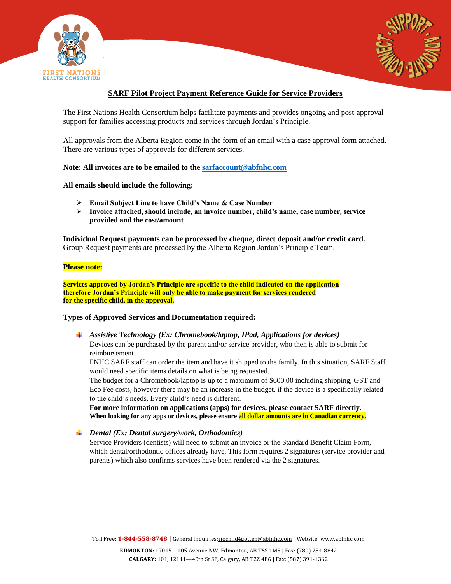



# **SARF Pilot Project Payment Reference Guide for Service Providers**

The First Nations Health Consortium helps facilitate payments and provides ongoing and post-approval support for families accessing products and services through Jordan's Principle.

All approvals from the Alberta Region come in the form of an email with a case approval form attached. There are various types of approvals for different services.

## **Note: All invoices are to be emailed to the [sarfaccount@abfnhc.com](mailto:sarfaccount@abfnhc.com)**

#### **All emails should include the following:**

- **Email Subject Line to have Child's Name & Case Number**
- **Invoice attached, should include, an invoice number, child's name, case number, service provided and the cost/amount**

**Individual Request payments can be processed by cheque, direct deposit and/or credit card.** Group Request payments are processed by the Alberta Region Jordan's Principle Team.

## **Please note:**

**Services approved by Jordan's Principle are specific to the child indicated on the application therefore Jordan's Principle will only be able to make payment for services rendered for the specific child, in the approval.**

#### **Types of Approved Services and Documentation required:**

*Assistive Technology (Ex: Chromebook/laptop, IPad, Applications for devices)* Devices can be purchased by the parent and/or service provider, who then is able to submit for reimbursement.

FNHC SARF staff can order the item and have it shipped to the family. In this situation, SARF Staff would need specific items details on what is being requested.

The budget for a Chromebook/laptop is up to a maximum of \$600.00 including shipping, GST and Eco Fee costs, however there may be an increase in the budget, if the device is a specifically related to the child's needs. Every child's need is different.

**For more information on applications (apps) for devices, please contact SARF directly. When looking for any apps or devices, please ensure all dollar amounts are in Canadian currency.**

*Dental (Ex: Dental surgery/work, Orthodontics)*

Service Providers (dentists) will need to submit an invoice or the Standard Benefit Claim Form, which dental/orthodontic offices already have. This form requires 2 signatures (service provider and parents) which also confirms services have been rendered via the 2 signatures.

Toll Free**: 1-844-558-8748** | General Inquiries: [nochild4gotten@abfnhc.com](mailto:nochild4gotten@abfnhc.com) | Website[: www.abfnhc.com](http://www.abfnhc.com/)